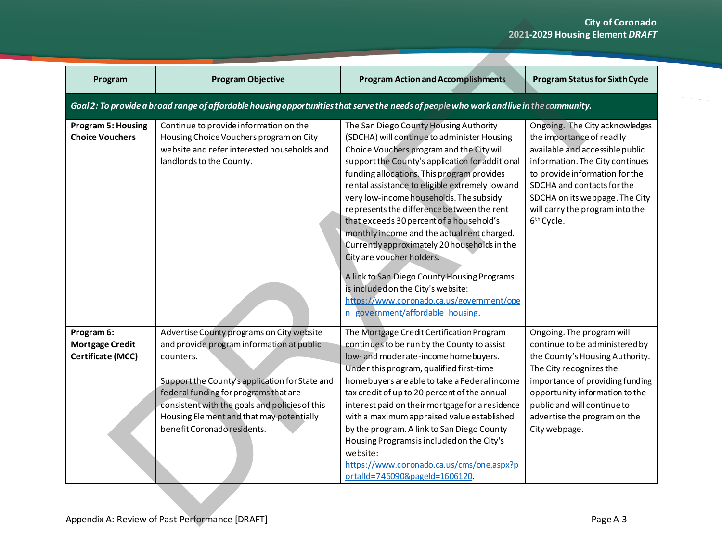|                                                                  |                                                                                                                                                                                                                                                                                                                             |                                                                                                                                                                                                                                                                                                                                                                                                                                                                                                                                                                                                                                                                                                                              | <b>City of Coronado</b><br>2021-2029 Housing Element DRAFT                                                                                                                                                                                                                                       |
|------------------------------------------------------------------|-----------------------------------------------------------------------------------------------------------------------------------------------------------------------------------------------------------------------------------------------------------------------------------------------------------------------------|------------------------------------------------------------------------------------------------------------------------------------------------------------------------------------------------------------------------------------------------------------------------------------------------------------------------------------------------------------------------------------------------------------------------------------------------------------------------------------------------------------------------------------------------------------------------------------------------------------------------------------------------------------------------------------------------------------------------------|--------------------------------------------------------------------------------------------------------------------------------------------------------------------------------------------------------------------------------------------------------------------------------------------------|
| Program                                                          | <b>Program Objective</b>                                                                                                                                                                                                                                                                                                    | <b>Program Action and Accomplishments</b>                                                                                                                                                                                                                                                                                                                                                                                                                                                                                                                                                                                                                                                                                    | <b>Program Status for Sixth Cycle</b>                                                                                                                                                                                                                                                            |
|                                                                  |                                                                                                                                                                                                                                                                                                                             | Goal 2: To provide a broad range of affordable housing opportunities that serve the needs of people who work and live in the community.                                                                                                                                                                                                                                                                                                                                                                                                                                                                                                                                                                                      |                                                                                                                                                                                                                                                                                                  |
| <b>Program 5: Housing</b><br><b>Choice Vouchers</b>              | Continue to provide information on the<br>Housing Choice Vouchers program on City<br>website and refer interested households and<br>landlords to the County.                                                                                                                                                                | The San Diego County Housing Authority<br>(SDCHA) will continue to administer Housing<br>Choice Vouchers program and the City will<br>support the County's application for additional<br>funding allocations. This program provides<br>rental assistance to eligible extremely low and<br>very low-income households. The subsidy<br>represents the difference between the rent<br>that exceeds 30 percent of a household's<br>monthly income and the actual rent charged.<br>Currently approximately 20 households in the<br>City are voucher holders.<br>A link to San Diego County Housing Programs<br>is included on the City's website:<br>https://www.coronado.ca.us/government/ope<br>n government/affordable housing | Ongoing. The City acknowledges<br>the importance of readily<br>available and accessible public<br>information. The City continues<br>to provide information for the<br>SDCHA and contacts for the<br>SDCHA on its webpage. The City<br>will carry the program into the<br>6 <sup>th</sup> Cycle. |
| Program 6:<br><b>Mortgage Credit</b><br><b>Certificate (MCC)</b> | Advertise County programs on City website<br>and provide program information at public<br>counters.<br>Support the County's application for State and<br>federal funding for programs that are<br>consistent with the goals and policies of this<br>Housing Element and that may potentially<br>benefit Coronado residents. | The Mortgage Credit Certification Program<br>continues to be run by the County to assist<br>low- and moderate-income homebuyers.<br>Under this program, qualified first-time<br>homebuyers are able to take a Federal income<br>tax credit of up to 20 percent of the annual<br>interest paid on their mortgage for a residence<br>with a maximum appraised value established<br>by the program. A link to San Diego County<br>Housing Programs is included on the City's<br>website:<br>https://www.coronado.ca.us/cms/one.aspx?p<br>ortalId=746090&pageId=1606120.                                                                                                                                                         | Ongoing. The program will<br>continue to be administered by<br>the County's Housing Authority.<br>The City recognizes the<br>importance of providing funding<br>opportunity information to the<br>public and will continue to<br>advertise the program on the<br>City webpage.                   |
|                                                                  | Appendix A: Review of Past Performance [DRAFT]                                                                                                                                                                                                                                                                              |                                                                                                                                                                                                                                                                                                                                                                                                                                                                                                                                                                                                                                                                                                                              | Page A-3                                                                                                                                                                                                                                                                                         |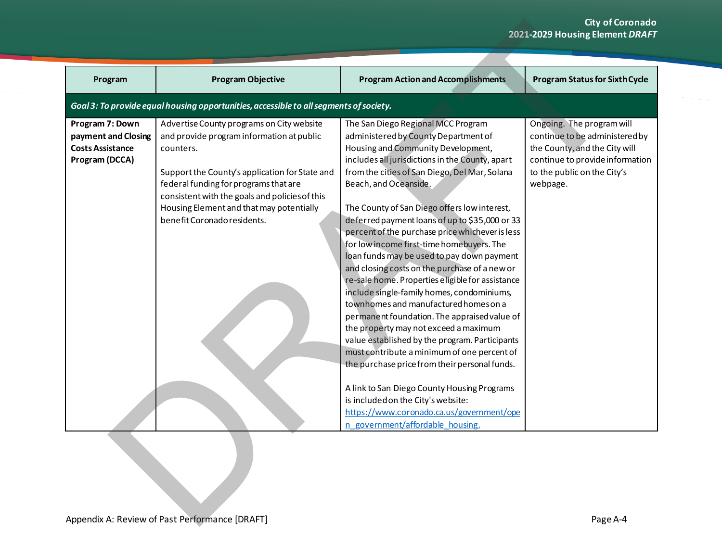|                                                                                     |                                                                                                                                                                                                                                                                                                                             |                                                                                                                                                                                                                                                                                                                                                                                                                                                                                                                                                                                                                                                                                                                                                                                                                                                                                                                                                                                                                                                                                                            | <b>City of Coronado</b><br>2021-2029 Housing Element DRAFT                                                                                                                 |
|-------------------------------------------------------------------------------------|-----------------------------------------------------------------------------------------------------------------------------------------------------------------------------------------------------------------------------------------------------------------------------------------------------------------------------|------------------------------------------------------------------------------------------------------------------------------------------------------------------------------------------------------------------------------------------------------------------------------------------------------------------------------------------------------------------------------------------------------------------------------------------------------------------------------------------------------------------------------------------------------------------------------------------------------------------------------------------------------------------------------------------------------------------------------------------------------------------------------------------------------------------------------------------------------------------------------------------------------------------------------------------------------------------------------------------------------------------------------------------------------------------------------------------------------------|----------------------------------------------------------------------------------------------------------------------------------------------------------------------------|
| Program                                                                             | <b>Program Objective</b>                                                                                                                                                                                                                                                                                                    | <b>Program Action and Accomplishments</b>                                                                                                                                                                                                                                                                                                                                                                                                                                                                                                                                                                                                                                                                                                                                                                                                                                                                                                                                                                                                                                                                  | <b>Program Status for Sixth Cycle</b>                                                                                                                                      |
|                                                                                     | Goal 3: To provide equal housing opportunities, accessible to all segments of society.                                                                                                                                                                                                                                      |                                                                                                                                                                                                                                                                                                                                                                                                                                                                                                                                                                                                                                                                                                                                                                                                                                                                                                                                                                                                                                                                                                            |                                                                                                                                                                            |
| Program 7: Down<br>payment and Closing<br><b>Costs Assistance</b><br>Program (DCCA) | Advertise County programs on City website<br>and provide program information at public<br>counters.<br>Support the County's application for State and<br>federal funding for programs that are<br>consistent with the goals and policies of this<br>Housing Element and that may potentially<br>benefit Coronado residents. | The San Diego Regional MCC Program<br>administered by County Department of<br>Housing and Community Development,<br>includes all jurisdictions in the County, apart<br>from the cities of San Diego, Del Mar, Solana<br>Beach, and Oceanside.<br>The County of San Diego offers low interest,<br>deferred payment loans of up to \$35,000 or 33<br>percent of the purchase price whichever is less<br>for low income first-time homebuyers. The<br>loan funds may be used to pay down payment<br>and closing costs on the purchase of a new or<br>re-sale home. Properties eligible for assistance<br>include single-family homes, condominiums,<br>townhomes and manufactured homes on a<br>permanent foundation. The appraised value of<br>the property may not exceed a maximum<br>value established by the program. Participants<br>must contribute a minimum of one percent of<br>the purchase price from their personal funds.<br>A link to San Diego County Housing Programs<br>is included on the City's website:<br>https://www.coronado.ca.us/government/ope<br>n government/affordable housing. | Ongoing. The program will<br>continue to be administered by<br>the County, and the City will<br>continue to provide information<br>to the public on the City's<br>webpage. |
|                                                                                     | Appendix A: Review of Past Performance [DRAFT]                                                                                                                                                                                                                                                                              |                                                                                                                                                                                                                                                                                                                                                                                                                                                                                                                                                                                                                                                                                                                                                                                                                                                                                                                                                                                                                                                                                                            | Page A-4                                                                                                                                                                   |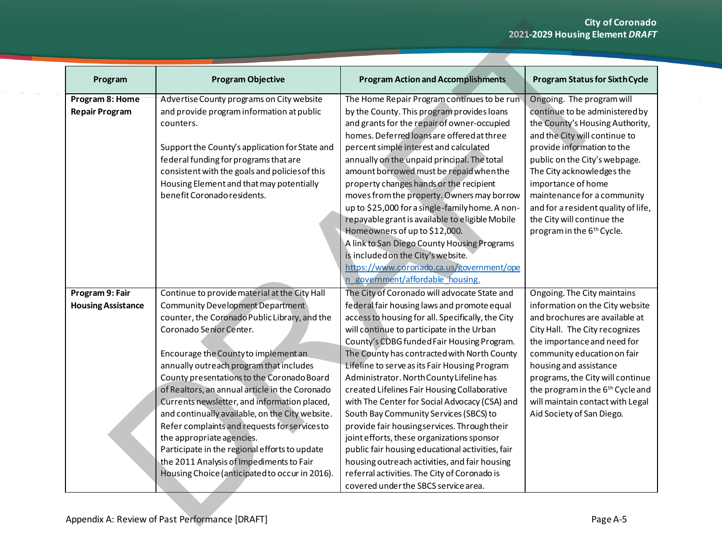| Program                                  | <b>Program Objective</b>                                                                                                                                                                                                                                                                                                                                                                                                                                                                                                                                                                                                        | <b>Program Action and Accomplishments</b>                                                                                                                                                                                                                                                                                                                                                                                                                                                                                                                                                                                                                                                                                                                                     | <b>Program Status for Sixth Cycle</b>                                                                                                                                                                                                                                                                                                                                                          |
|------------------------------------------|---------------------------------------------------------------------------------------------------------------------------------------------------------------------------------------------------------------------------------------------------------------------------------------------------------------------------------------------------------------------------------------------------------------------------------------------------------------------------------------------------------------------------------------------------------------------------------------------------------------------------------|-------------------------------------------------------------------------------------------------------------------------------------------------------------------------------------------------------------------------------------------------------------------------------------------------------------------------------------------------------------------------------------------------------------------------------------------------------------------------------------------------------------------------------------------------------------------------------------------------------------------------------------------------------------------------------------------------------------------------------------------------------------------------------|------------------------------------------------------------------------------------------------------------------------------------------------------------------------------------------------------------------------------------------------------------------------------------------------------------------------------------------------------------------------------------------------|
| Program 8: Home<br><b>Repair Program</b> | Advertise County programs on City website<br>and provide program information at public<br>counters.<br>Support the County's application for State and<br>federal funding for programs that are<br>consistent with the goals and policies of this<br>Housing Element and that may potentially<br>benefit Coronado residents.                                                                                                                                                                                                                                                                                                     | The Home Repair Program continues to be run<br>by the County. This program provides loans<br>and grants for the repair of owner-occupied<br>homes. Deferred loans are offered at three<br>percent simple interest and calculated<br>annually on the unpaid principal. The total<br>amount borrowed must be repaid when the<br>property changes hands or the recipient<br>moves from the property. Owners may borrow<br>up to \$25,000 for a single-family home. A non-<br>repayable grant is available to eligible Mobile<br>Homeowners of up to \$12,000.<br>A link to San Diego County Housing Programs<br>is included on the City's website.<br>https://www.coronado.ca.us/government/ope<br>n government/affordable housing.                                              | Ongoing. The program will<br>continue to be administered by<br>the County's Housing Authority,<br>and the City will continue to<br>provide information to the<br>public on the City's webpage.<br>The City acknowledges the<br>importance of home<br>maintenance for a community<br>and for a resident quality of life,<br>the City will continue the<br>program in the 6 <sup>th</sup> Cycle. |
| Program 9: Fair                          | Continue to provide material at the City Hall                                                                                                                                                                                                                                                                                                                                                                                                                                                                                                                                                                                   | The City of Coronado will advocate State and                                                                                                                                                                                                                                                                                                                                                                                                                                                                                                                                                                                                                                                                                                                                  | Ongoing. The City maintains                                                                                                                                                                                                                                                                                                                                                                    |
| <b>Housing Assistance</b>                | Community Development Department<br>counter, the Coronado Public Library, and the<br>Coronado Senior Center.<br>Encourage the County to implement an<br>annually outreach program that includes<br>County presentations to the Coronado Board<br>of Realtors, an annual article in the Coronado<br>Currents newsletter, and information placed,<br>and continually available, on the City website.<br>Refer complaints and requests for services to<br>the appropriate agencies.<br>Participate in the regional efforts to update<br>the 2011 Analysis of Impediments to Fair<br>Housing Choice (anticipated to occur in 2016). | federal fair housing laws and promote equal<br>access to housing for all. Specifically, the City<br>will continue to participate in the Urban<br>County's CDBG funded Fair Housing Program.<br>The County has contracted with North County<br>Lifeline to serve as its Fair Housing Program<br>Administrator. North County Lifeline has<br>created Lifelines Fair Housing Collaborative<br>with The Center for Social Advocacy (CSA) and<br>South Bay Community Services (SBCS) to<br>provide fair housing services. Through their<br>joint efforts, these organizations sponsor<br>public fair housing educational activities, fair<br>housing outreach activities, and fair housing<br>referral activities. The City of Coronado is<br>covered under the SBCS service area. | information on the City website<br>and brochures are available at<br>City Hall. The City recognizes<br>the importance and need for<br>community education on fair<br>housing and assistance<br>programs, the City will continue<br>the program in the 6 <sup>th</sup> Cycle and<br>will maintain contact with Legal<br>Aid Society of San Diego.                                               |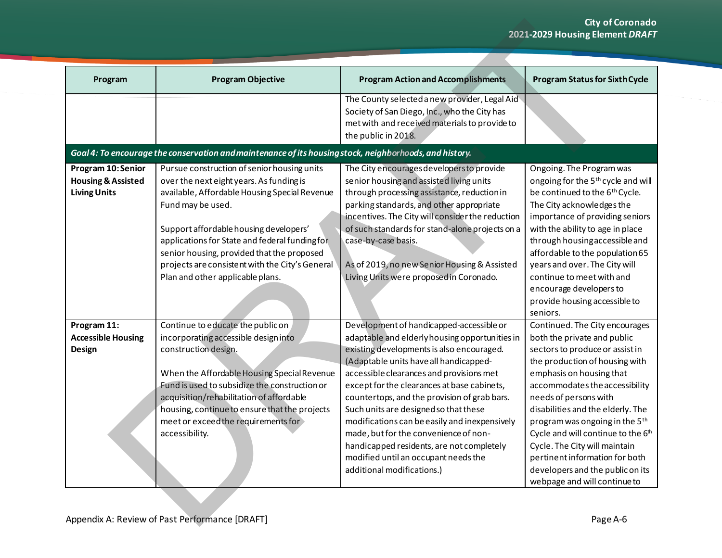|                                                                           |                                                                                                                                                                                                                                                                                                                                                                                                |                                                                                                                                                                                                                                                                                                                                                                                                                                                                                                                                        | <b>City of Coronado</b><br>2021-2029 Housing Element DRAFT                                                                                                                                                                                                                                                                                                                                                                                              |
|---------------------------------------------------------------------------|------------------------------------------------------------------------------------------------------------------------------------------------------------------------------------------------------------------------------------------------------------------------------------------------------------------------------------------------------------------------------------------------|----------------------------------------------------------------------------------------------------------------------------------------------------------------------------------------------------------------------------------------------------------------------------------------------------------------------------------------------------------------------------------------------------------------------------------------------------------------------------------------------------------------------------------------|---------------------------------------------------------------------------------------------------------------------------------------------------------------------------------------------------------------------------------------------------------------------------------------------------------------------------------------------------------------------------------------------------------------------------------------------------------|
| Program                                                                   | <b>Program Objective</b>                                                                                                                                                                                                                                                                                                                                                                       | <b>Program Action and Accomplishments</b>                                                                                                                                                                                                                                                                                                                                                                                                                                                                                              | <b>Program Status for Sixth Cycle</b>                                                                                                                                                                                                                                                                                                                                                                                                                   |
|                                                                           |                                                                                                                                                                                                                                                                                                                                                                                                | The County selected a new provider, Legal Aid<br>Society of San Diego, Inc., who the City has<br>met with and received materials to provide to<br>the public in 2018.                                                                                                                                                                                                                                                                                                                                                                  |                                                                                                                                                                                                                                                                                                                                                                                                                                                         |
|                                                                           | Goal 4: To encourage the conservation and maintenance of its housing stock, neighborhoods, and history.                                                                                                                                                                                                                                                                                        |                                                                                                                                                                                                                                                                                                                                                                                                                                                                                                                                        |                                                                                                                                                                                                                                                                                                                                                                                                                                                         |
| Program 10:Senior<br><b>Housing &amp; Assisted</b><br><b>Living Units</b> | Pursue construction of senior housing units<br>over the next eight years. As funding is<br>available, Affordable Housing Special Revenue<br>Fund may be used.<br>Support affordable housing developers'<br>applications for State and federal funding for<br>senior housing, provided that the proposed<br>projects are consistent with the City's General<br>Plan and other applicable plans. | The City encourages developers to provide<br>senior housing and assisted living units<br>through processing assistance, reduction in<br>parking standards, and other appropriate<br>incentives. The City will consider the reduction<br>of such standards for stand-alone projects on a<br>case-by-case basis.<br>As of 2019, no new Senior Housing & Assisted<br>Living Units were proposed in Coronado.                                                                                                                              | Ongoing. The Program was<br>ongoing for the 5 <sup>th</sup> cycle and will<br>be continued to the 6 <sup>th</sup> Cycle.<br>The City acknowledges the<br>importance of providing seniors<br>with the ability to age in place<br>through housing accessible and<br>affordable to the population 65<br>years and over. The City will<br>continue to meet with and<br>encourage developers to<br>provide housing accessible to<br>seniors.                 |
| Program 11:                                                               | Continue to educate the public on                                                                                                                                                                                                                                                                                                                                                              | Development of handicapped-accessible or                                                                                                                                                                                                                                                                                                                                                                                                                                                                                               | Continued. The City encourages                                                                                                                                                                                                                                                                                                                                                                                                                          |
| <b>Accessible Housing</b><br><b>Design</b>                                | incorporating accessible designinto<br>construction design.<br>When the Affordable Housing Special Revenue<br>Fund is used to subsidize the construction or<br>acquisition/rehabilitation of affordable<br>housing, continue to ensure that the projects<br>meet or exceed the requirements for<br>accessibility.                                                                              | adaptable and elderly housing opportunities in<br>existing developments is also encouraged.<br>(Adaptable units have all handicapped-<br>accessible clearances and provisions met<br>except for the clearances at base cabinets,<br>countertops, and the provision of grab bars.<br>Such units are designed so that these<br>modifications can be easily and inexpensively<br>made, but for the convenience of non-<br>handicapped residents, are not completely<br>modified until an occupant needs the<br>additional modifications.) | both the private and public<br>sectors to produce or assist in<br>the production of housing with<br>emphasis on housing that<br>accommodates the accessibility<br>needs of persons with<br>disabilities and the elderly. The<br>program was ongoing in the 5 <sup>th</sup><br>Cycle and will continue to the 6th<br>Cycle. The City will maintain<br>pertinent information for both<br>developers and the public on its<br>webpage and will continue to |
|                                                                           | Appendix A: Review of Past Performance [DRAFT]                                                                                                                                                                                                                                                                                                                                                 |                                                                                                                                                                                                                                                                                                                                                                                                                                                                                                                                        | Page A-6                                                                                                                                                                                                                                                                                                                                                                                                                                                |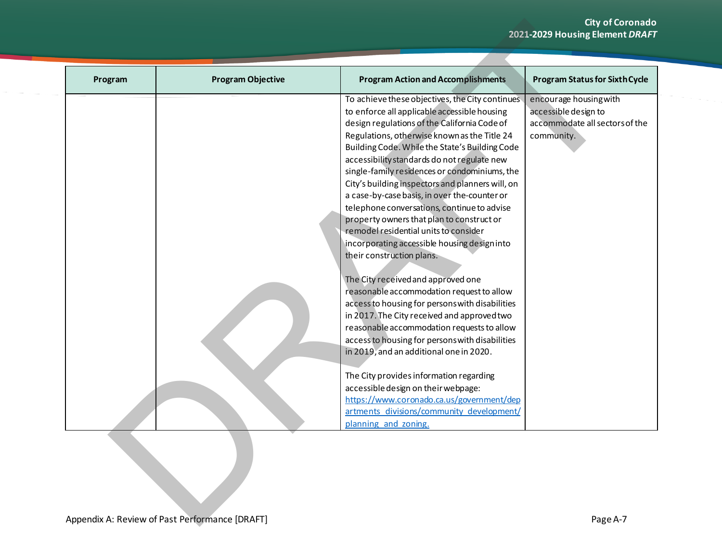## **City of Coronado 2021-2029 Housing Element** *DRAFT*

| Program | <b>Program Objective</b> | <b>Program Action and Accomplishments</b>                                                   | <b>Program Status for Sixth Cycle</b> |
|---------|--------------------------|---------------------------------------------------------------------------------------------|---------------------------------------|
|         |                          | To achieve these objectives, the City continues                                             | encourage housing with                |
|         |                          | to enforce all applicable accessible housing                                                | accessible design to                  |
|         |                          | design regulations of the California Code of                                                | accommodate all sectors of the        |
|         |                          | Regulations, otherwise known as the Title 24                                                | community.                            |
|         |                          | Building Code. While the State's Building Code                                              |                                       |
|         |                          | accessibility standards do not regulate new                                                 |                                       |
|         |                          | single-family residences or condominiums, the                                               |                                       |
|         |                          | City's building inspectors and planners will, on                                            |                                       |
|         |                          | a case-by-case basis, in over the-counter or<br>telephone conversations, continue to advise |                                       |
|         |                          | property owners that plan to construct or                                                   |                                       |
|         |                          | remodel residential units to consider                                                       |                                       |
|         |                          | incorporating accessible housing design into                                                |                                       |
|         |                          | their construction plans.                                                                   |                                       |
|         |                          |                                                                                             |                                       |
|         |                          | The City received and approved one                                                          |                                       |
|         |                          | reasonable accommodation request to allow                                                   |                                       |
|         |                          | access to housing for persons with disabilities                                             |                                       |
|         |                          | in 2017. The City received and approved two                                                 |                                       |
|         |                          | reasonable accommodation requests to allow                                                  |                                       |
|         |                          | access to housing for persons with disabilities                                             |                                       |
|         |                          | in 2019, and an additional one in 2020.                                                     |                                       |
|         |                          | The City provides information regarding                                                     |                                       |
|         |                          | accessible design on their webpage:                                                         |                                       |
|         |                          | https://www.coronado.ca.us/government/dep                                                   |                                       |
|         |                          | artments divisions/community development/                                                   |                                       |
|         |                          | planning and zoning.                                                                        |                                       |
|         |                          |                                                                                             |                                       |
|         |                          |                                                                                             |                                       |
|         |                          |                                                                                             |                                       |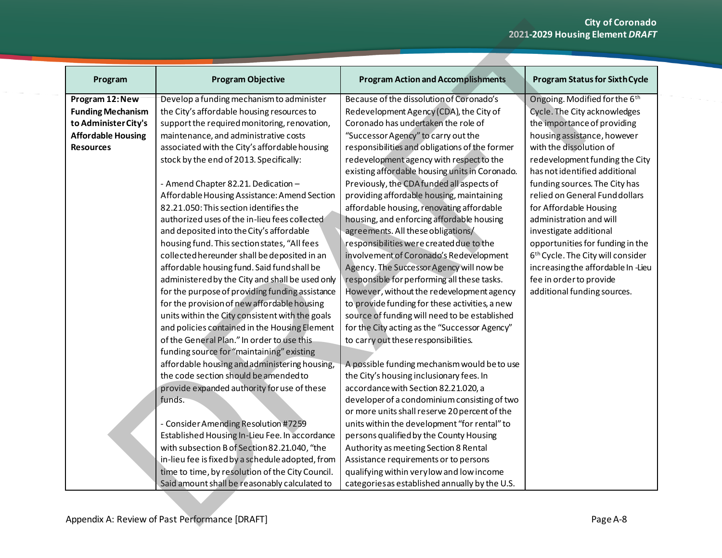| Program                   | <b>Program Objective</b>                         | <b>Program Action and Accomplishments</b>      | <b>Program Status for Sixth Cycle</b>         |
|---------------------------|--------------------------------------------------|------------------------------------------------|-----------------------------------------------|
| Program 12: New           | Develop a funding mechanism to administer        | Because of the dissolution of Coronado's       | Ongoing. Modified for the 6th                 |
| <b>Funding Mechanism</b>  | the City's affordable housing resources to       | Redevelopment Agency (CDA), the City of        | Cycle. The City acknowledges                  |
| to Administer City's      | support the required monitoring, renovation,     | Coronado has undertaken the role of            | the importance of providing                   |
| <b>Affordable Housing</b> | maintenance, and administrative costs            | "Successor Agency" to carry out the            | housing assistance, however                   |
| <b>Resources</b>          | associated with the City's affordable housing    | responsibilities and obligations of the former | with the dissolution of                       |
|                           | stock by the end of 2013. Specifically:          | redevelopment agency with respect to the       | redevelopment funding the City                |
|                           |                                                  | existing affordable housing units in Coronado. | has not identified additional                 |
|                           | - Amend Chapter 82.21. Dedication -              | Previously, the CDA funded all aspects of      | funding sources. The City has                 |
|                           | Affordable Housing Assistance: Amend Section     | providing affordable housing, maintaining      | relied on General Fund dollars                |
|                           | 82.21.050: This section identifies the           | affordable housing, renovating affordable      | for Affordable Housing                        |
|                           | authorized uses of the in-lieu fees collected    | housing, and enforcing affordable housing      | administration and will                       |
|                           | and deposited into the City's affordable         | agreements. All these obligations/             | investigate additional                        |
|                           | housing fund. This section states, "All fees     | responsibilities were created due to the       | opportunities for funding in the              |
|                           | collected hereunder shall be deposited in an     | involvement of Coronado's Redevelopment        | 6 <sup>th</sup> Cycle. The City will consider |
|                           | affordable housing fund. Said fund shall be      | Agency. The Successor Agency will now be       | increasing the affordable In-Lieu             |
|                           | administered by the City and shall be used only  | responsible for performing all these tasks.    | fee in order to provide                       |
|                           | for the purpose of providing funding assistance  | However, without the redevelopment agency      | additional funding sources.                   |
|                           | for the provision of new affordable housing      | to provide funding for these activities, a new |                                               |
|                           | units within the City consistent with the goals  | source of funding will need to be established  |                                               |
|                           | and policies contained in the Housing Element    | for the City acting as the "Successor Agency"  |                                               |
|                           | of the General Plan." In order to use this       | to carry out these responsibilities.           |                                               |
|                           | funding source for "maintaining" existing        |                                                |                                               |
|                           |                                                  |                                                |                                               |
|                           | affordable housing and administering housing,    | A possible funding mechanism would be to use   |                                               |
|                           | the code section should be amended to            | the City's housing inclusionary fees. In       |                                               |
|                           | provide expanded authority for use of these      | accordance with Section 82.21.020, a           |                                               |
|                           | funds.                                           | developer of a condominium consisting of two   |                                               |
|                           |                                                  | or more units shall reserve 20 percent of the  |                                               |
|                           | - Consider Amending Resolution #7259             | units within the development "for rental" to   |                                               |
|                           | Established Housing In-Lieu Fee. In accordance   | persons qualified by the County Housing        |                                               |
|                           | with subsection B of Section 82.21.040, "the     | Authority as meeting Section 8 Rental          |                                               |
|                           | in-lieu fee is fixed by a schedule adopted, from | Assistance requirements or to persons          |                                               |
|                           | time to time, by resolution of the City Council. | qualifying within verylow and low income       |                                               |
|                           | Said amount shall be reasonably calculated to    | categories as established annually by the U.S. |                                               |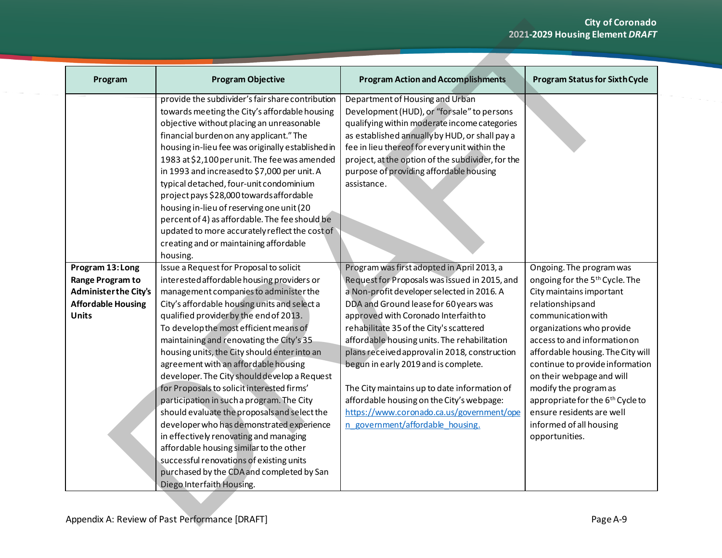## **City of Coronado 2021-2029 Housing Element** *DRAFT*

| Program                                                                                                           | <b>Program Objective</b>                                                                                                                                                                                                                                                                                                                                                                                                                                                                                                                                                                                                                                                                                                                                                                                                                                   | <b>Program Action and Accomplishments</b>                                                                                                                                                                                                                                                                                                                                                                                                                                                                                                                                                    | <b>Program Status for Sixth Cycle</b>                                                                                                                                                                                                                                                                                                                                                                                                                             |
|-------------------------------------------------------------------------------------------------------------------|------------------------------------------------------------------------------------------------------------------------------------------------------------------------------------------------------------------------------------------------------------------------------------------------------------------------------------------------------------------------------------------------------------------------------------------------------------------------------------------------------------------------------------------------------------------------------------------------------------------------------------------------------------------------------------------------------------------------------------------------------------------------------------------------------------------------------------------------------------|----------------------------------------------------------------------------------------------------------------------------------------------------------------------------------------------------------------------------------------------------------------------------------------------------------------------------------------------------------------------------------------------------------------------------------------------------------------------------------------------------------------------------------------------------------------------------------------------|-------------------------------------------------------------------------------------------------------------------------------------------------------------------------------------------------------------------------------------------------------------------------------------------------------------------------------------------------------------------------------------------------------------------------------------------------------------------|
|                                                                                                                   | provide the subdivider's fair share contribution<br>towards meeting the City's affordable housing<br>objective without placing an unreasonable<br>financial burden on any applicant." The<br>housing in-lieu fee was originally established in<br>1983 at \$2,100 per unit. The fee was amended<br>in 1993 and increased to \$7,000 per unit. A<br>typical detached, four-unit condominium<br>project pays \$28,000 towards affordable<br>housing in-lieu of reserving one unit (20<br>percent of 4) as affordable. The fee should be<br>updated to more accurately reflect the cost of<br>creating and or maintaining affordable<br>housing.                                                                                                                                                                                                              | Department of Housing and Urban<br>Development (HUD), or "for sale" to persons<br>qualifying within moderate income categories<br>as established annually by HUD, or shall pay a<br>fee in lieu thereof for every unit within the<br>project, at the option of the subdivider, for the<br>purpose of providing affordable housing<br>assistance.                                                                                                                                                                                                                                             |                                                                                                                                                                                                                                                                                                                                                                                                                                                                   |
| Program 13: Long<br>Range Program to<br><b>Administer the City's</b><br><b>Affordable Housing</b><br><b>Units</b> | Issue a Request for Proposal to solicit<br>interested affordable housing providers or<br>management companies to administer the<br>City's affordable housing units and select a<br>qualified provider by the end of 2013.<br>To develop the most efficient means of<br>maintaining and renovating the City's 35<br>housing units, the City should enter into an<br>agreement with an affordable housing<br>developer. The City should develop a Request<br>for Proposals to solicit interested firms'<br>participation in such a program. The City<br>should evaluate the proposals and select the<br>developer who has demonstrated experience<br>in effectively renovating and managing<br>affordable housing similar to the other<br>successful renovations of existing units<br>purchased by the CDA and completed by San<br>Diego Interfaith Housing. | Program was first adopted in April 2013, a<br>Request for Proposals was issued in 2015, and<br>a Non-profit developer selected in 2016. A<br>DDA and Ground lease for 60 years was<br>approved with Coronado Interfaith to<br>rehabilitate 35 of the City's scattered<br>affordable housing units. The rehabilitation<br>plans received approval in 2018, construction<br>begun in early 2019 and is complete.<br>The City maintains up to date information of<br>affordable housing on the City's webpage:<br>https://www.coronado.ca.us/government/ope<br>n government/affordable housing. | Ongoing. The program was<br>ongoing for the 5 <sup>th</sup> Cycle. The<br>City maintains important<br>relationshipsand<br>communication with<br>organizations who provide<br>access to and information on<br>affordable housing. The City will<br>continue to provide information<br>on their webpage and will<br>modify the program as<br>appropriate for the 6 <sup>th</sup> Cycle to<br>ensure residents are well<br>informed of all housing<br>opportunities. |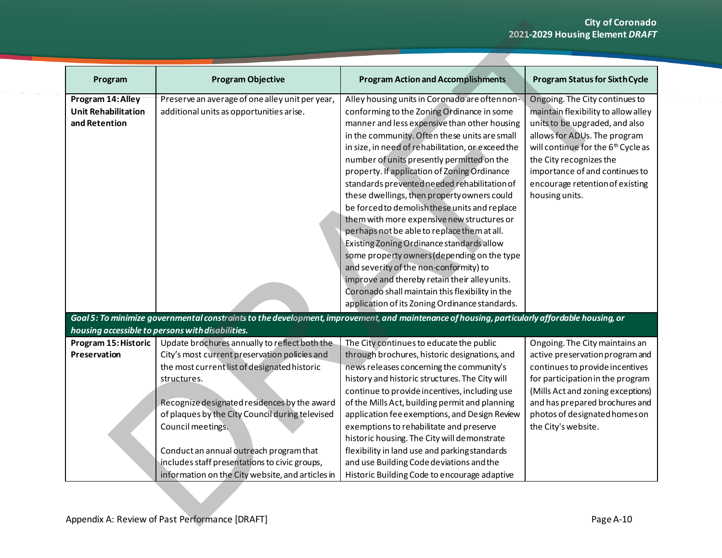|                                                                  |                                                                                                                                                                                                                                                                                                                                                                                                                                       |                                                                                                                                                                                                                                                                                                                                                                                                                                                                                                                                                                                                                                                                                                                                                                                                                                                                                           | <b>City of Coronado</b><br>2021-2029 Housing Element DRAFT                                                                                                                                                                                                                                                  |
|------------------------------------------------------------------|---------------------------------------------------------------------------------------------------------------------------------------------------------------------------------------------------------------------------------------------------------------------------------------------------------------------------------------------------------------------------------------------------------------------------------------|-------------------------------------------------------------------------------------------------------------------------------------------------------------------------------------------------------------------------------------------------------------------------------------------------------------------------------------------------------------------------------------------------------------------------------------------------------------------------------------------------------------------------------------------------------------------------------------------------------------------------------------------------------------------------------------------------------------------------------------------------------------------------------------------------------------------------------------------------------------------------------------------|-------------------------------------------------------------------------------------------------------------------------------------------------------------------------------------------------------------------------------------------------------------------------------------------------------------|
|                                                                  |                                                                                                                                                                                                                                                                                                                                                                                                                                       |                                                                                                                                                                                                                                                                                                                                                                                                                                                                                                                                                                                                                                                                                                                                                                                                                                                                                           |                                                                                                                                                                                                                                                                                                             |
| Program                                                          | <b>Program Objective</b>                                                                                                                                                                                                                                                                                                                                                                                                              | <b>Program Action and Accomplishments</b>                                                                                                                                                                                                                                                                                                                                                                                                                                                                                                                                                                                                                                                                                                                                                                                                                                                 | <b>Program Status for Sixth Cycle</b>                                                                                                                                                                                                                                                                       |
| Program 14: Alley<br><b>Unit Rehabilitation</b><br>and Retention | Preserve an average of one alley unit per year,<br>additional units as opportunities arise.                                                                                                                                                                                                                                                                                                                                           | Alley housing units in Coronado are often non-<br>conforming to the Zoning Ordinance in some<br>manner and less expensive than other housing<br>in the community. Often these units are small<br>in size, in need of rehabilitation, or exceed the<br>number of units presently permitted on the<br>property. If application of Zoning Ordinance<br>standards prevented needed rehabilitation of<br>these dwellings, then property owners could<br>be forced to demolish these units and replace<br>them with more expensive new structures or<br>perhaps not be able to replace them at all.<br>Existing Zoning Ordinance standards allow<br>some property owners (depending on the type<br>and severity of the non-conformity) to<br>improve and thereby retain their alley units.<br>Coronado shall maintain this flexibility in the<br>application of its Zoning Ordinance standards. | Ongoing. The City continues to<br>maintain flexibility to allow alley<br>units to be upgraded, and also<br>allows for ADUs. The program<br>will continue for the 6 <sup>th</sup> Cycle as<br>the City recognizes the<br>importance of and continues to<br>encourage retention of existing<br>housing units. |
|                                                                  | housing accessible to persons with disabilities.                                                                                                                                                                                                                                                                                                                                                                                      | Goal 5: To minimize governmental constraints to the development, improvement, and maintenance of housing, particularly affordable housing, or                                                                                                                                                                                                                                                                                                                                                                                                                                                                                                                                                                                                                                                                                                                                             |                                                                                                                                                                                                                                                                                                             |
| Program 15: Historic<br>Preservation                             | Update brochures annually to reflect both the<br>City's most current preservation policies and<br>the most current list of designated historic<br>structures.<br>Recognize designated residences by the award<br>of plaques by the City Council during televised<br>Council meetings.<br>Conduct an annual outreach program that<br>includes staff presentations to civic groups,<br>information on the City website, and articles in | The City continues to educate the public<br>through brochures, historic designations, and<br>news releases concerning the community's<br>history and historic structures. The City will<br>continue to provide incentives, including use<br>of the Mills Act, building permit and planning<br>application fee exemptions, and Design Review<br>exemptions to rehabilitate and preserve<br>historic housing. The City will demonstrate<br>flexibility in land use and parkingstandards<br>and use Building Code deviations and the<br>Historic Building Code to encourage adaptive                                                                                                                                                                                                                                                                                                         | Ongoing. The City maintains an<br>active preservation program and<br>continues to provide incentives<br>for participation in the program<br>(Mills Act and zoning exceptions)<br>and has prepared brochures and<br>photos of designated homes on<br>the City's website.                                     |
|                                                                  | Appendix A: Review of Past Performance [DRAFT]                                                                                                                                                                                                                                                                                                                                                                                        |                                                                                                                                                                                                                                                                                                                                                                                                                                                                                                                                                                                                                                                                                                                                                                                                                                                                                           | Page A-10                                                                                                                                                                                                                                                                                                   |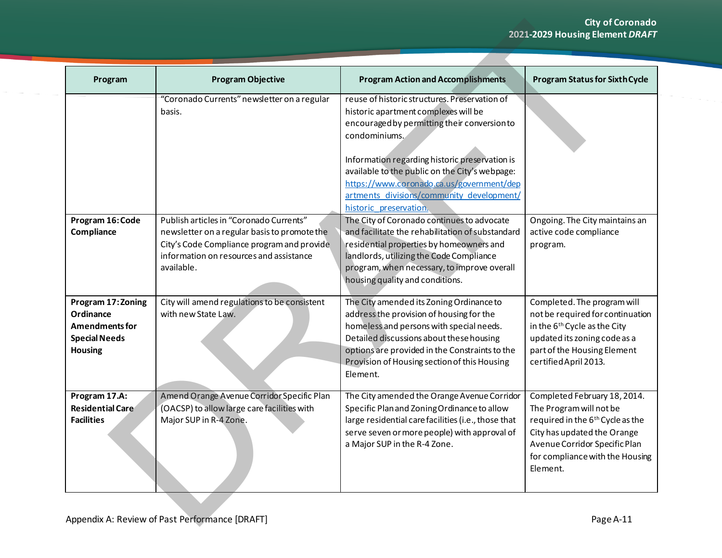| Program                                                                                            | <b>Program Objective</b>                                                                                                                                                                       | <b>Program Action and Accomplishments</b>                                                                                                                                                                                                                                                                                                                                      | <b>Program Status for Sixth Cycle</b>                                                                                                                                                                                  |
|----------------------------------------------------------------------------------------------------|------------------------------------------------------------------------------------------------------------------------------------------------------------------------------------------------|--------------------------------------------------------------------------------------------------------------------------------------------------------------------------------------------------------------------------------------------------------------------------------------------------------------------------------------------------------------------------------|------------------------------------------------------------------------------------------------------------------------------------------------------------------------------------------------------------------------|
|                                                                                                    | "Coronado Currents" newsletter on a regular<br>basis.                                                                                                                                          | reuse of historic structures. Preservation of<br>historic apartment complexes will be<br>encouraged by permitting their conversion to<br>condominiums.<br>Information regarding historic preservation is<br>available to the public on the City's webpage:<br>https://www.coronado.ca.us/government/dep<br>artments divisions/community development/<br>historic preservation. |                                                                                                                                                                                                                        |
| Program 16: Code<br>Compliance                                                                     | Publish articles in "Coronado Currents"<br>newsletter on a regular basis to promote the<br>City's Code Compliance program and provide<br>information on resources and assistance<br>available. | The City of Coronado continues to advocate<br>and facilitate the rehabilitation of substandard<br>residential properties by homeowners and<br>landlords, utilizing the Code Compliance<br>program, when necessary, to improve overall<br>housing quality and conditions.                                                                                                       | Ongoing. The City maintains an<br>active code compliance<br>program.                                                                                                                                                   |
| Program 17: Zoning<br>Ordinance<br><b>Amendments for</b><br><b>Special Needs</b><br><b>Housing</b> | City will amend regulations to be consistent<br>with new State Law.                                                                                                                            | The City amended its Zoning Ordinance to<br>address the provision of housing for the<br>homeless and persons with special needs.<br>Detailed discussions about these housing<br>options are provided in the Constraints to the<br>Provision of Housing section of this Housing<br>Element.                                                                                     | Completed. The program will<br>not be required for continuation<br>in the 6 <sup>th</sup> Cycle as the City<br>updated its zoning code as a<br>part of the Housing Element<br>certified April 2013.                    |
| Program 17.A:<br>Residential Care<br><b>Facilities</b>                                             | Amend Orange Avenue Corridor Specific Plan<br>(OACSP) to allow large care facilities with<br>Major SUP in R-4 Zone.                                                                            | The City amended the Orange Avenue Corridor<br>Specific Plan and Zoning Ordinance to allow<br>large residential care facilities (i.e., those that<br>serve seven or more people) with approval of<br>a Major SUP in the R-4 Zone.                                                                                                                                              | Completed February 18, 2014.<br>The Program will not be<br>required in the 6 <sup>th</sup> Cycle as the<br>City has updated the Orange<br>Avenue Corridor Specific Plan<br>for compliance with the Housing<br>Element. |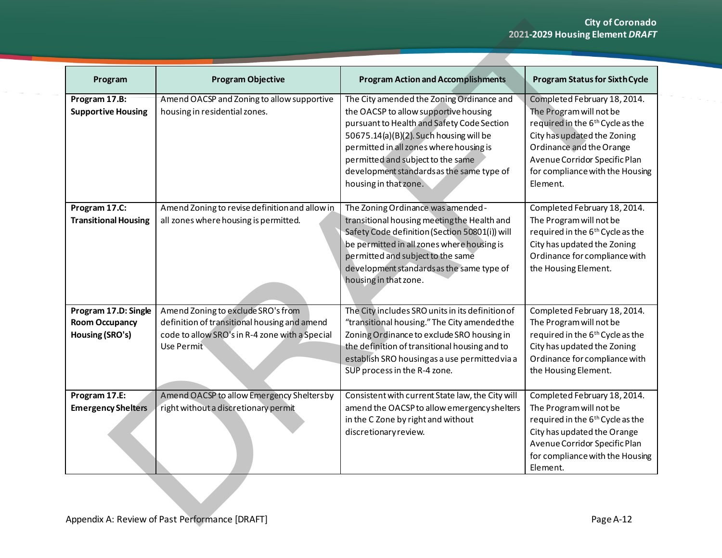|                                                                  |                                                                                                                                                    |                                                                                                                                                                                                                                                                                                                                   | <b>City of Coronado</b><br>2021-2029 Housing Element DRAFT                                                                                                                                                                                         |
|------------------------------------------------------------------|----------------------------------------------------------------------------------------------------------------------------------------------------|-----------------------------------------------------------------------------------------------------------------------------------------------------------------------------------------------------------------------------------------------------------------------------------------------------------------------------------|----------------------------------------------------------------------------------------------------------------------------------------------------------------------------------------------------------------------------------------------------|
|                                                                  |                                                                                                                                                    |                                                                                                                                                                                                                                                                                                                                   |                                                                                                                                                                                                                                                    |
| Program                                                          | <b>Program Objective</b>                                                                                                                           | <b>Program Action and Accomplishments</b>                                                                                                                                                                                                                                                                                         | <b>Program Status for Sixth Cycle</b>                                                                                                                                                                                                              |
| Program 17.B:<br><b>Supportive Housing</b>                       | Amend OACSP and Zoning to allow supportive<br>housing in residential zones.                                                                        | The City amended the Zoning Ordinance and<br>the OACSP to allow supportive housing<br>pursuant to Health and Safety Code Section<br>50675.14(a)(B)(2). Such housing will be<br>permitted in all zones where housing is<br>permitted and subject to the same<br>development standards as the same type of<br>housing in that zone. | Completed February 18, 2014.<br>The Program will not be<br>required in the 6 <sup>th</sup> Cycle as the<br>City has updated the Zoning<br>Ordinance and the Orange<br>Avenue Corridor Specific Plan<br>for compliance with the Housing<br>Element. |
| Program 17.C:<br><b>Transitional Housing</b>                     | Amend Zoning to revise definition and allow in<br>all zones where housing is permitted.                                                            | The Zoning Ordinance was amended-<br>transitional housing meeting the Health and<br>Safety Code definition (Section 50801(i)) will<br>be permitted in all zones where housing is<br>permitted and subject to the same<br>development standards as the same type of<br>housing in that zone.                                       | Completed February 18, 2014.<br>The Program will not be<br>required in the 6 <sup>th</sup> Cycle as the<br>City has updated the Zoning<br>Ordinance for compliance with<br>the Housing Element.                                                    |
| Program 17.D: Single<br><b>Room Occupancy</b><br>Housing (SRO's) | Amend Zoning to exclude SRO's from<br>definition of transitional housing and amend<br>code to allow SRO's in R-4 zone with a Special<br>Use Permit | The City includes SRO units in its definition of<br>"transitional housing." The City amended the<br>Zoning Ordinance to exclude SRO housing in<br>the definition of transitional housing and to<br>establish SRO housing as a use permitted via a<br>SUP process in the R-4 zone.                                                 | Completed February 18, 2014.<br>The Program will not be<br>required in the 6 <sup>th</sup> Cycle as the<br>City has updated the Zoning<br>Ordinance for compliance with<br>the Housing Element.                                                    |
| Program 17.E:<br><b>Emergency Shelters</b>                       | Amend OACSP to allow Emergency Sheltersby<br>right without a discretionary permit                                                                  | Consistent with current State law, the City will<br>amend the OACSP to allow emergency shelters<br>in the C Zone by right and without<br>discretionary review.                                                                                                                                                                    | Completed February 18, 2014.<br>The Program will not be<br>required in the 6 <sup>th</sup> Cycle as the<br>City has updated the Orange<br>Avenue Corridor Specific Plan<br>for compliance with the Housing<br>Element.                             |
|                                                                  | Appendix A: Review of Past Performance [DRAFT]                                                                                                     |                                                                                                                                                                                                                                                                                                                                   | Page A-12                                                                                                                                                                                                                                          |